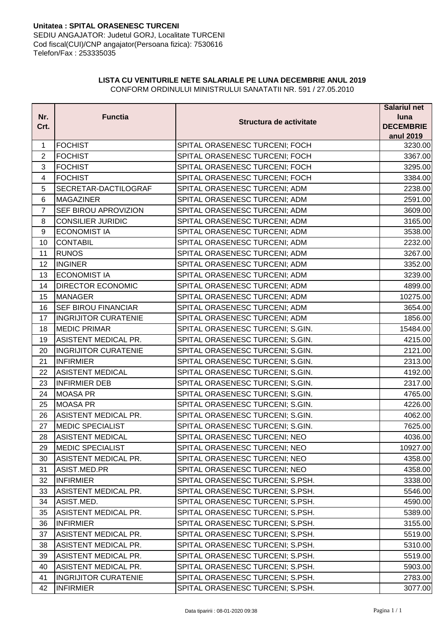## **Unitatea : SPITAL ORASENESC TURCENI** SEDIU ANGAJATOR: Judetul GORJ, Localitate TURCENI Cod fiscal(CUI)/CNP angajator(Persoana fizica): 7530616 Telefon/Fax : 253335035

## **LISTA CU VENITURILE NETE SALARIALE PE LUNA DECEMBRIE ANUL 2019** CONFORM ORDINULUI MINISTRULUI SANATATII NR. 591 / 27.05.2010

|                |                             |                                  | <b>Salariul net</b>  |
|----------------|-----------------------------|----------------------------------|----------------------|
| Nr.            | <b>Functia</b>              | Structura de activitate          | luna                 |
| Crt.           |                             |                                  | <b>DECEMBRIE</b>     |
|                | <b>FOCHIST</b>              | SPITAL ORASENESC TURCENI; FOCH   | anul 2019<br>3230.00 |
| 1              |                             |                                  |                      |
| $\overline{2}$ | <b>FOCHIST</b>              | SPITAL ORASENESC TURCENI; FOCH   | 3367.00              |
| 3              | <b>FOCHIST</b>              | SPITAL ORASENESC TURCENI; FOCH   | 3295.00              |
| 4              | <b>FOCHIST</b>              | SPITAL ORASENESC TURCENI; FOCH   | 3384.00              |
| 5              | SECRETAR-DACTILOGRAF        | SPITAL ORASENESC TURCENI; ADM    | 2238.00              |
| 6              | <b>MAGAZINER</b>            | SPITAL ORASENESC TURCENI; ADM    | 2591.00              |
| $\overline{7}$ | SEF BIROU APROVIZION        | SPITAL ORASENESC TURCENI; ADM    | 3609.00              |
| 8              | <b>CONSILIER JURIDIC</b>    | SPITAL ORASENESC TURCENI; ADM    | 3165.00              |
| 9              | <b>ECONOMIST IA</b>         | SPITAL ORASENESC TURCENI; ADM    | 3538.00              |
| 10             | <b>CONTABIL</b>             | SPITAL ORASENESC TURCENI; ADM    | 2232.00              |
| 11             | <b>RUNOS</b>                | SPITAL ORASENESC TURCENI; ADM    | 3267.00              |
| 12             | <b>INGINER</b>              | SPITAL ORASENESC TURCENI; ADM    | 3352.00              |
| 13             | <b>ECONOMIST IA</b>         | SPITAL ORASENESC TURCENI; ADM    | 3239.00              |
| 14             | <b>DIRECTOR ECONOMIC</b>    | SPITAL ORASENESC TURCENI; ADM    | 4899.00              |
| 15             | MANAGER                     | SPITAL ORASENESC TURCENI; ADM    | 10275.00             |
| 16             | <b>SEF BIROU FINANCIAR</b>  | SPITAL ORASENESC TURCENI; ADM    | 3654.00              |
| 17             | <b>INGRIJITOR CURATENIE</b> | SPITAL ORASENESC TURCENI; ADM    | 1856.00              |
| 18             | <b>MEDIC PRIMAR</b>         | SPITAL ORASENESC TURCENI; S.GIN. | 15484.00             |
| 19             | <b>ASISTENT MEDICAL PR.</b> | SPITAL ORASENESC TURCENI; S.GIN. | 4215.00              |
| 20             | <b>INGRIJITOR CURATENIE</b> | SPITAL ORASENESC TURCENI; S.GIN. | 2121.00              |
| 21             | <b>INFIRMIER</b>            | SPITAL ORASENESC TURCENI; S.GIN. | 2313.00              |
| 22             | <b>ASISTENT MEDICAL</b>     | SPITAL ORASENESC TURCENI; S.GIN. | 4192.00              |
| 23             | <b>INFIRMIER DEB</b>        | SPITAL ORASENESC TURCENI; S.GIN. | 2317.00              |
| 24             | <b>MOASA PR</b>             | SPITAL ORASENESC TURCENI; S.GIN. | 4765.00              |
| 25             | MOASA PR                    | SPITAL ORASENESC TURCENI; S.GIN. | 4226.00              |
| 26             | ASISTENT MEDICAL PR.        | SPITAL ORASENESC TURCENI; S.GIN. | 4062.00              |
| 27             | <b>MEDIC SPECIALIST</b>     | SPITAL ORASENESC TURCENI; S.GIN. | 7625.00              |
| 28             | <b>ASISTENT MEDICAL</b>     | SPITAL ORASENESC TURCENI; NEO    | 4036.00              |
| 29             | <b>MEDIC SPECIALIST</b>     | SPITAL ORASENESC TURCENI; NEO    | 10927.00             |
| 30             | ASISTENT MEDICAL PR.        | SPITAL ORASENESC TURCENI; NEO    | 4358.00              |
| 31             | ASIST.MED.PR                | SPITAL ORASENESC TURCENI; NEO    | 4358.00              |
| 32             | <b>INFIRMIER</b>            | SPITAL ORASENESC TURCENI; S.PSH. | 3338.00              |
| 33             | ASISTENT MEDICAL PR.        | SPITAL ORASENESC TURCENI; S.PSH. | 5546.00              |
| 34             | ASIST.MED.                  | SPITAL ORASENESC TURCENI; S.PSH. | 4590.00              |
| 35             | <b>ASISTENT MEDICAL PR.</b> | SPITAL ORASENESC TURCENI; S.PSH. | 5389.00              |
| 36             | <b>INFIRMIER</b>            | SPITAL ORASENESC TURCENI; S.PSH. | 3155.00              |
| 37             | <b>ASISTENT MEDICAL PR.</b> | SPITAL ORASENESC TURCENI; S.PSH. | 5519.00              |
| 38             | ASISTENT MEDICAL PR.        | SPITAL ORASENESC TURCENI; S.PSH. | 5310.00              |
| 39             | ASISTENT MEDICAL PR.        | SPITAL ORASENESC TURCENI; S.PSH. | 5519.00              |
| 40             | ASISTENT MEDICAL PR.        | SPITAL ORASENESC TURCENI; S.PSH. | 5903.00              |
| 41             | <b>INGRIJITOR CURATENIE</b> | SPITAL ORASENESC TURCENI; S.PSH. | 2783.00              |
| 42             | <b>INFIRMIER</b>            | SPITAL ORASENESC TURCENI; S.PSH. | 3077.00              |
|                |                             |                                  |                      |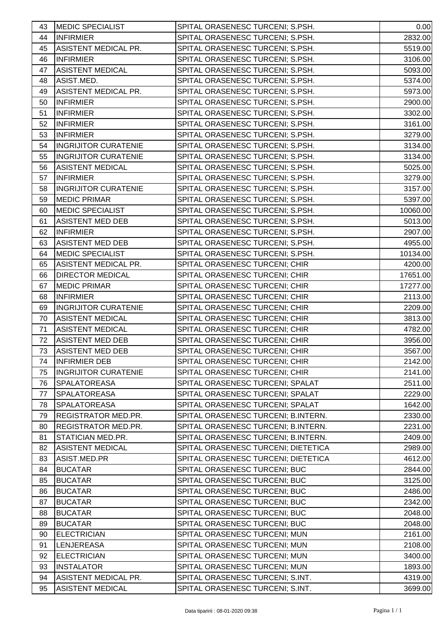| 43 | <b>MEDIC SPECIALIST</b>     | SPITAL ORASENESC TURCENI; S.PSH.    | 0.00     |
|----|-----------------------------|-------------------------------------|----------|
| 44 | <b>INFIRMIER</b>            | SPITAL ORASENESC TURCENI; S.PSH.    | 2832.00  |
| 45 | ASISTENT MEDICAL PR.        | SPITAL ORASENESC TURCENI; S.PSH.    | 5519.00  |
| 46 | <b>INFIRMIER</b>            | SPITAL ORASENESC TURCENI; S.PSH.    | 3106.00  |
| 47 | <b>ASISTENT MEDICAL</b>     | SPITAL ORASENESC TURCENI; S.PSH.    | 5093.00  |
|    |                             |                                     |          |
| 48 | ASIST.MED.                  | SPITAL ORASENESC TURCENI; S.PSH.    | 5374.00  |
| 49 | ASISTENT MEDICAL PR.        | SPITAL ORASENESC TURCENI; S.PSH.    | 5973.00  |
| 50 | <b>INFIRMIER</b>            | SPITAL ORASENESC TURCENI; S.PSH.    | 2900.00  |
| 51 | <b>INFIRMIER</b>            | SPITAL ORASENESC TURCENI; S.PSH.    | 3302.00  |
| 52 | <b>INFIRMIER</b>            | SPITAL ORASENESC TURCENI; S.PSH.    | 3161.00  |
| 53 | <b>INFIRMIER</b>            | SPITAL ORASENESC TURCENI; S.PSH.    | 3279.00  |
| 54 | <b>INGRIJITOR CURATENIE</b> | SPITAL ORASENESC TURCENI; S.PSH.    | 3134.00  |
| 55 | <b>INGRIJITOR CURATENIE</b> | SPITAL ORASENESC TURCENI; S.PSH.    | 3134.00  |
| 56 | <b>ASISTENT MEDICAL</b>     | SPITAL ORASENESC TURCENI; S.PSH.    | 5025.00  |
| 57 | <b>INFIRMIER</b>            | SPITAL ORASENESC TURCENI; S.PSH.    | 3279.00  |
| 58 | <b>INGRIJITOR CURATENIE</b> | SPITAL ORASENESC TURCENI; S.PSH.    | 3157.00  |
| 59 | <b>MEDIC PRIMAR</b>         | SPITAL ORASENESC TURCENI; S.PSH.    | 5397.00  |
| 60 | <b>MEDIC SPECIALIST</b>     | SPITAL ORASENESC TURCENI; S.PSH.    | 10060.00 |
| 61 | <b>ASISTENT MED DEB</b>     | SPITAL ORASENESC TURCENI; S.PSH.    | 5013.00  |
| 62 | <b>INFIRMIER</b>            | SPITAL ORASENESC TURCENI; S.PSH.    | 2907.00  |
| 63 | <b>ASISTENT MED DEB</b>     | SPITAL ORASENESC TURCENI; S.PSH.    | 4955.00  |
| 64 | <b>MEDIC SPECIALIST</b>     | SPITAL ORASENESC TURCENI; S.PSH.    | 10134.00 |
| 65 | ASISTENT MEDICAL PR.        | SPITAL ORASENESC TURCENI; CHIR      | 4200.00  |
| 66 | <b>DIRECTOR MEDICAL</b>     | SPITAL ORASENESC TURCENI; CHIR      | 17651.00 |
| 67 | <b>MEDIC PRIMAR</b>         | SPITAL ORASENESC TURCENI; CHIR      | 17277.00 |
| 68 | <b>INFIRMIER</b>            | SPITAL ORASENESC TURCENI; CHIR      | 2113.00  |
| 69 | <b>INGRIJITOR CURATENIE</b> | SPITAL ORASENESC TURCENI; CHIR      | 2209.00  |
| 70 | <b>ASISTENT MEDICAL</b>     | SPITAL ORASENESC TURCENI; CHIR      | 3813.00  |
| 71 | <b>ASISTENT MEDICAL</b>     | SPITAL ORASENESC TURCENI; CHIR      | 4782.00  |
| 72 | <b>ASISTENT MED DEB</b>     | SPITAL ORASENESC TURCENI; CHIR      | 3956.00  |
| 73 | <b>ASISTENT MED DEB</b>     | SPITAL ORASENESC TURCENI; CHIR      | 3567.00  |
| 74 | <b>INFIRMIER DEB</b>        | SPITAL ORASENESC TURCENI; CHIR      | 2142.00  |
| 75 | <b>INGRIJITOR CURATENIE</b> | SPITAL ORASENESC TURCENI; CHIR      | 2141.00  |
| 76 | <b>SPALATOREASA</b>         | SPITAL ORASENESC TURCENI; SPALAT    | 2511.00  |
| 77 | <b>SPALATOREASA</b>         | SPITAL ORASENESC TURCENI; SPALAT    | 2229.00  |
| 78 | SPALATOREASA                | SPITAL ORASENESC TURCENI; SPALAT    | 1642.00  |
| 79 | REGISTRATOR MED.PR.         | SPITAL ORASENESC TURCENI; B.INTERN. | 2330.00  |
| 80 | REGISTRATOR MED.PR.         | SPITAL ORASENESC TURCENI; B.INTERN. | 2231.00  |
| 81 | STATICIAN MED.PR.           | SPITAL ORASENESC TURCENI; B.INTERN. | 2409.00  |
| 82 | <b>ASISTENT MEDICAL</b>     | SPITAL ORASENESC TURCENI; DIETETICA | 2989.00  |
| 83 | ASIST.MED.PR                | SPITAL ORASENESC TURCENI; DIETETICA | 4612.00  |
| 84 | <b>BUCATAR</b>              | SPITAL ORASENESC TURCENI; BUC       | 2844.00  |
| 85 | <b>BUCATAR</b>              | SPITAL ORASENESC TURCENI; BUC       | 3125.00  |
| 86 | <b>BUCATAR</b>              | SPITAL ORASENESC TURCENI; BUC       | 2486.00  |
| 87 | <b>BUCATAR</b>              | SPITAL ORASENESC TURCENI; BUC       | 2342.00  |
| 88 | <b>BUCATAR</b>              | SPITAL ORASENESC TURCENI; BUC       | 2048.00  |
| 89 | <b>BUCATAR</b>              | SPITAL ORASENESC TURCENI; BUC       | 2048.00  |
| 90 | <b>ELECTRICIAN</b>          | SPITAL ORASENESC TURCENI; MUN       | 2161.00  |
| 91 | <b>LENJEREASA</b>           | SPITAL ORASENESC TURCENI; MUN       | 2108.00  |
| 92 | <b>ELECTRICIAN</b>          | SPITAL ORASENESC TURCENI; MUN       | 3400.00  |
| 93 | <b>INSTALATOR</b>           | SPITAL ORASENESC TURCENI; MUN       | 1893.00  |
| 94 | ASISTENT MEDICAL PR.        | SPITAL ORASENESC TURCENI; S.INT.    | 4319.00  |
| 95 | <b>ASISTENT MEDICAL</b>     | SPITAL ORASENESC TURCENI; S.INT.    | 3699.00  |
|    |                             |                                     |          |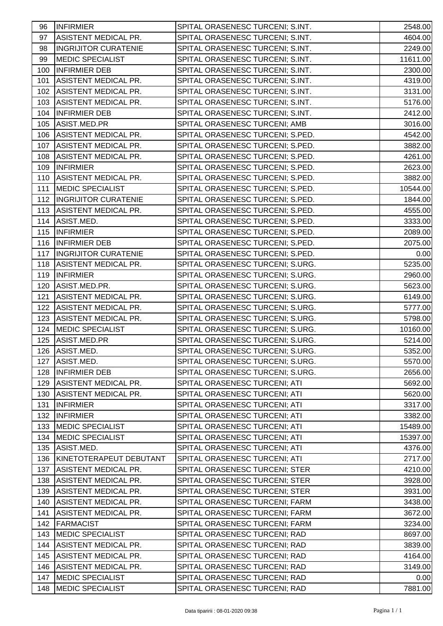| 96  | <b>INFIRMIER</b>            | SPITAL ORASENESC TURCENI; S.INT. | 2548.00  |
|-----|-----------------------------|----------------------------------|----------|
| 97  | ASISTENT MEDICAL PR.        | SPITAL ORASENESC TURCENI; S.INT. | 4604.00  |
| 98  | <b>INGRIJITOR CURATENIE</b> | SPITAL ORASENESC TURCENI; S.INT. | 2249.00  |
| 99  | <b>MEDIC SPECIALIST</b>     | SPITAL ORASENESC TURCENI; S.INT. | 11611.00 |
| 100 | <b>INFIRMIER DEB</b>        | SPITAL ORASENESC TURCENI; S.INT. | 2300.00  |
| 101 | ASISTENT MEDICAL PR.        | SPITAL ORASENESC TURCENI; S.INT. | 4319.00  |
| 102 | <b>ASISTENT MEDICAL PR.</b> | SPITAL ORASENESC TURCENI; S.INT. | 3131.00  |
| 103 | ASISTENT MEDICAL PR.        | SPITAL ORASENESC TURCENI; S.INT. | 5176.00  |
| 104 | <b>INFIRMIER DEB</b>        | SPITAL ORASENESC TURCENI; S.INT. | 2412.00  |
| 105 | ASIST.MED.PR                | SPITAL ORASENESC TURCENI; AMB    | 3016.00  |
| 106 | ASISTENT MEDICAL PR.        | SPITAL ORASENESC TURCENI; S.PED. | 4542.00  |
| 107 | ASISTENT MEDICAL PR.        | SPITAL ORASENESC TURCENI; S.PED. | 3882.00  |
| 108 | ASISTENT MEDICAL PR.        | SPITAL ORASENESC TURCENI; S.PED. | 4261.00  |
| 109 | <b>INFIRMIER</b>            | SPITAL ORASENESC TURCENI; S.PED. | 2623.00  |
| 110 | ASISTENT MEDICAL PR.        | SPITAL ORASENESC TURCENI; S.PED. | 3882.00  |
| 111 | <b>MEDIC SPECIALIST</b>     | SPITAL ORASENESC TURCENI; S.PED. | 10544.00 |
| 112 | <b>INGRIJITOR CURATENIE</b> | SPITAL ORASENESC TURCENI; S.PED. | 1844.00  |
| 113 | ASISTENT MEDICAL PR.        | SPITAL ORASENESC TURCENI; S.PED. | 4555.00  |
| 114 | ASIST.MED.                  | SPITAL ORASENESC TURCENI; S.PED. | 3333.00  |
| 115 | <b>INFIRMIER</b>            | SPITAL ORASENESC TURCENI; S.PED. | 2089.00  |
| 116 | <b>INFIRMIER DEB</b>        | SPITAL ORASENESC TURCENI; S.PED. | 2075.00  |
| 117 | <b>INGRIJITOR CURATENIE</b> | SPITAL ORASENESC TURCENI; S.PED. | 0.00     |
| 118 | <b>ASISTENT MEDICAL PR.</b> | SPITAL ORASENESC TURCENI; S.URG. | 5235.00  |
| 119 | <b>INFIRMIER</b>            | SPITAL ORASENESC TURCENI; S.URG. | 2960.00  |
| 120 | ASIST.MED.PR.               | SPITAL ORASENESC TURCENI; S.URG. | 5623.00  |
| 121 | <b>ASISTENT MEDICAL PR.</b> | SPITAL ORASENESC TURCENI; S.URG. | 6149.00  |
| 122 | ASISTENT MEDICAL PR.        | SPITAL ORASENESC TURCENI; S.URG. | 5777.00  |
| 123 | <b>ASISTENT MEDICAL PR.</b> | SPITAL ORASENESC TURCENI; S.URG. | 5798.00  |
| 124 | <b>MEDIC SPECIALIST</b>     | SPITAL ORASENESC TURCENI; S.URG. | 10160.00 |
| 125 | ASIST.MED.PR                | SPITAL ORASENESC TURCENI; S.URG. | 5214.00  |
| 126 | ASIST.MED.                  | SPITAL ORASENESC TURCENI; S.URG. | 5352.00  |
| 127 | ASIST.MED.                  | SPITAL ORASENESC TURCENI; S.URG. | 5570.00  |
| 128 | <b>INFIRMIER DEB</b>        | SPITAL ORASENESC TURCENI; S.URG. | 2656.00  |
| 129 | ASISTENT MEDICAL PR.        | SPITAL ORASENESC TURCENI; ATI    | 5692.00  |
| 130 | ASISTENT MEDICAL PR.        | SPITAL ORASENESC TURCENI; ATI    | 5620.00  |
| 131 | <b>INFIRMIER</b>            | SPITAL ORASENESC TURCENI; ATI    | 3317.00  |
| 132 | <b>INFIRMIER</b>            | SPITAL ORASENESC TURCENI; ATI    | 3382.00  |
| 133 | MEDIC SPECIALIST            | SPITAL ORASENESC TURCENI; ATI    | 15489.00 |
| 134 | <b>MEDIC SPECIALIST</b>     | SPITAL ORASENESC TURCENI; ATI    | 15397.00 |
| 135 | ASIST.MED.                  | SPITAL ORASENESC TURCENI; ATI    | 4376.00  |
| 136 | KINETOTERAPEUT DEBUTANT     | SPITAL ORASENESC TURCENI; ATI    | 2717.00  |
| 137 | ASISTENT MEDICAL PR.        | SPITAL ORASENESC TURCENI; STER   | 4210.00  |
| 138 | ASISTENT MEDICAL PR.        | SPITAL ORASENESC TURCENI; STER   | 3928.00  |
| 139 | ASISTENT MEDICAL PR.        | SPITAL ORASENESC TURCENI; STER   | 3931.00  |
| 140 | <b>ASISTENT MEDICAL PR.</b> | SPITAL ORASENESC TURCENI; FARM   | 3438.00  |
| 141 | <b>ASISTENT MEDICAL PR.</b> | SPITAL ORASENESC TURCENI; FARM   | 3672.00  |
| 142 | <b>FARMACIST</b>            | SPITAL ORASENESC TURCENI; FARM   | 3234.00  |
| 143 | <b>MEDIC SPECIALIST</b>     | SPITAL ORASENESC TURCENI; RAD    | 8697.00  |
| 144 | ASISTENT MEDICAL PR.        | SPITAL ORASENESC TURCENI; RAD    | 3839.00  |
| 145 | <b>ASISTENT MEDICAL PR.</b> | SPITAL ORASENESC TURCENI; RAD    | 4164.00  |
| 146 | <b>ASISTENT MEDICAL PR.</b> | SPITAL ORASENESC TURCENI; RAD    | 3149.00  |
| 147 | <b>MEDIC SPECIALIST</b>     | SPITAL ORASENESC TURCENI; RAD    | 0.00     |
| 148 | <b>MEDIC SPECIALIST</b>     | SPITAL ORASENESC TURCENI; RAD    | 7881.00  |
|     |                             |                                  |          |